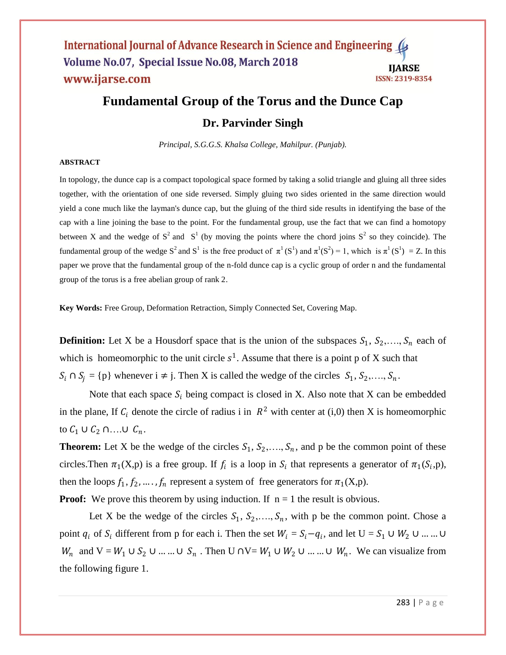# **Fundamental Group of the Torus and the Dunce Cap Dr. Parvinder Singh**

*Principal, S.G.G.S. Khalsa College, Mahilpur. (Punjab).*

#### **ABSTRACT**

In [topology,](https://en.wikipedia.org/wiki/Topology) the dunce cap is a [compact](https://en.wikipedia.org/wiki/Compact_space) [topological space](https://en.wikipedia.org/wiki/Topological_space) formed by taking a solid [triangle](https://en.wikipedia.org/wiki/Triangle) and [gluing](https://en.wikipedia.org/wiki/Quotient_space_%28topology%29) all three sides together, with the orientation of one side reversed. Simply gluing two sides oriented in the same direction would yield a cone much like the layman's dunce cap, but the gluing of the third side results in identifying the base of the cap with a line joining the base to the point. For the fundamental group, use the fact that we can find a homotopy between X and the wedge of  $S^2$  and  $S^1$  (by moving the points where the chord joins  $S^2$  so they coincide). The fundamental group of the wedge  $S^2$  and  $S^1$  is the free product of  $\pi^1(S^1)$  and  $\pi^1(S^2) = 1$ , which is  $\pi^1(S^1) = Z$ . In this paper we prove that the fundamental group of the n-fold dunce cap is a cyclic group of order n and the fundamental group of the torus is a free abelian group of rank 2.

**Key Words:** Free Group, Deformation Retraction, Simply Connected Set, Covering Map.

**Definition:** Let X be a Housdorf space that is the union of the subspaces  $S_1, S_2, \ldots, S_n$  each of which is homeomorphic to the unit circle  $s^1$ . Assume that there is a point p of X such that  $S_i \cap S_j = \{p\}$  whenever  $i \neq j$ . Then X is called the wedge of the circles  $S_1, S_2, ..., S_n$ .

Note that each space  $S_i$  being compact is closed in X. Also note that X can be embedded in the plane, If  $C_i$  denote the circle of radius i in  $R^2$  with center at (i,0) then X is homeomorphic to  $C_1 \cup C_2 \cap ... \cup C_n$ .

**Theorem:** Let X be the wedge of the circles  $S_1$ ,  $S_2$ ,...,  $S_n$ , and p be the common point of these circles. Then  $\pi_1(X, p)$  is a free group. If  $f_i$  is a loop in  $S_i$  that represents a generator of  $\pi_1(S_i, p)$ , then the loops  $f_1, f_2, ..., f_n$  represent a system of free generators for  $\pi_1(X, p)$ .

**Proof:** We prove this theorem by using induction. If  $n = 1$  the result is obvious.

Let X be the wedge of the circles  $S_1, S_2, \ldots, S_n$ , with p be the common point. Chose a point  $q_i$  of  $S_i$  different from p for each i. Then the set  $W_i = S_i - q_i$ , and let  $U = S_1 \cup W_2 \cup ... ... \cup$  $W_n$  and  $V = W_1 \cup S_2 \cup ... \cup S_n$ . Then  $U \cap V = W_1 \cup W_2 \cup ... \cup W_n$ . We can visualize from the following figure 1.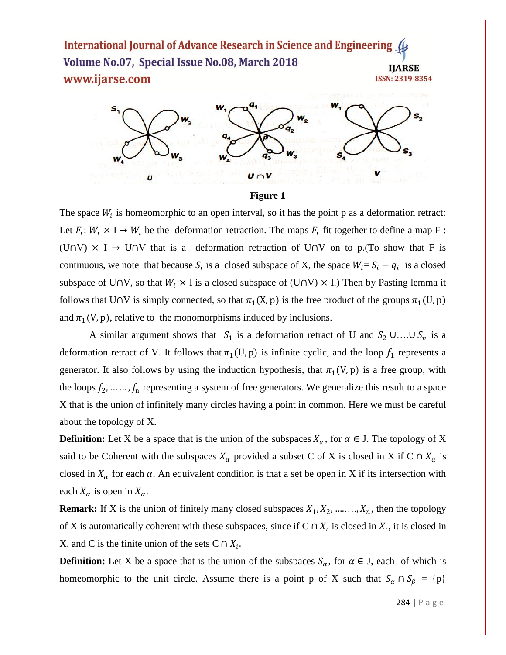

**Figure 1**

The space  $W_i$  is homeomorphic to an open interval, so it has the point p as a deformation retract: Let  $F_i: W_i \times I \to W_i$  be the deformation retraction. The maps  $F_i$  fit together to define a map F: (U∩V)  $\times$  I  $\rightarrow$  U∩V that is a deformation retraction of U∩V on to p.(To show that F is continuous, we note that because  $S_i$  is a closed subspace of X, the space  $W_i = S_i - q_i$  is a closed subspace of U∩V, so that  $W_i \times I$  is a closed subspace of (U∩V)  $\times$  I.) Then by Pasting lemma it follows that U∩V is simply connected, so that  $\pi_1(X, p)$  is the free product of the groups  $\pi_1(U, p)$ and  $\pi_1(V, p)$ , relative to the monomorphisms induced by inclusions.

A similar argument shows that  $S_1$  is a deformation retract of U and  $S_2 \cup ... \cup S_n$  is a deformation retract of V. It follows that  $\pi_1(U, p)$  is infinite cyclic, and the loop  $f_1$  represents a generator. It also follows by using the induction hypothesis, that  $\pi_1(V, p)$  is a free group, with the loops  $f_2, \ldots, f_n$  representing a system of free generators. We generalize this result to a space X that is the union of infinitely many circles having a point in common. Here we must be careful about the topology of X.

**Definition:** Let X be a space that is the union of the subspaces  $X_{\alpha}$ , for  $\alpha \in J$ . The topology of X said to be Coherent with the subspaces  $X_\alpha$  provided a subset C of X is closed in X if C ∩  $X_\alpha$  is closed in  $X_{\alpha}$  for each  $\alpha$ . An equivalent condition is that a set be open in X if its intersection with each  $X_{\alpha}$  is open in  $X_{\alpha}$ .

**Remark:** If X is the union of finitely many closed subspaces  $X_1, X_2, \dots, X_n$ , then the topology of X is automatically coherent with these subspaces, since if  $C \cap X_i$  is closed in  $X_i$ , it is closed in X, and C is the finite union of the sets C  $\cap X_i$ .

**Definition:** Let X be a space that is the union of the subspaces  $S_\alpha$ , for  $\alpha \in J$ , each of which is homeomorphic to the unit circle. Assume there is a point p of X such that  $S_\alpha \cap S_\beta = \{p\}$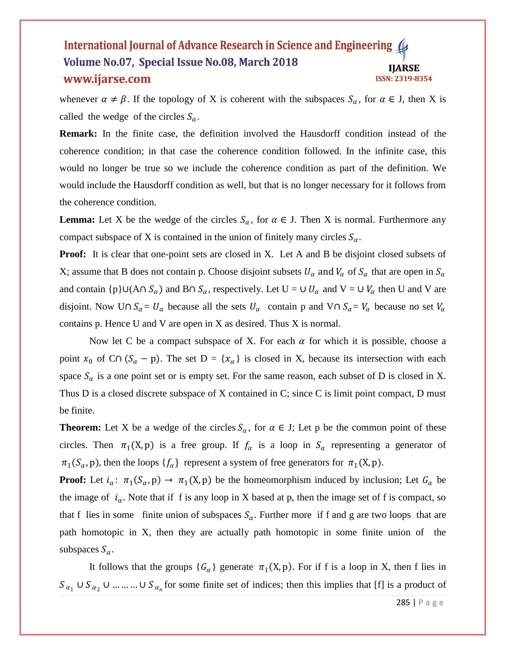whenever  $\alpha \neq \beta$ . If the topology of X is coherent with the subspaces  $S_{\alpha}$ , for  $\alpha \in J$ , then X is called the wedge of the circles  $S_{\alpha}$ .

**Remark:** In the finite case, the definition involved the Hausdorff condition instead of the coherence condition; in that case the coherence condition followed. In the infinite case, this would no longer be true so we include the coherence condition as part of the definition. We would include the Hausdorff condition as well, but that is no longer necessary for it follows from the coherence condition.

**Lemma:** Let X be the wedge of the circles  $S_\alpha$ , for  $\alpha \in J$ . Then X is normal. Furthermore any compact subspace of X is contained in the union of finitely many circles  $S_{\alpha}$ .

**Proof:** It is clear that one-point sets are closed in X. Let A and B be disjoint closed subsets of X; assume that B does not contain p. Choose disjoint subsets  $U_\alpha$  and  $V_\alpha$  of  $S_\alpha$  that are open in  $S_\alpha$ and contain {p}∪(A∩  $S_\alpha$ ) and B∩  $S_\alpha$ , respectively. Let U = ∪  $U_\alpha$  and V = ∪  $V_\alpha$  then U and V are disjoint. Now U∩  $S_\alpha = U_\alpha$  because all the sets  $U_\alpha$  contain p and V∩  $S_\alpha = V_\alpha$  because no set  $V_\alpha$ contains p. Hence U and V are open in X as desired. Thus X is normal.

Now let C be a compact subspace of X. For each  $\alpha$  for which it is possible, choose a point  $x_0$  of C∩ ( $S_\alpha$  – p). The set D = { $x_\alpha$ } is closed in X, because its intersection with each space  $S_{\alpha}$  is a one point set or is empty set. For the same reason, each subset of D is closed in X. Thus D is a closed discrete subspace of X contained in C; since C is limit point compact, D must be finite.

**Theorem:** Let X be a wedge of the circles  $S_\alpha$ , for  $\alpha \in J$ ; Let p be the common point of these circles. Then  $\pi_1(X, p)$  is a free group. If  $f_\alpha$  is a loop in  $S_\alpha$  representing a generator of  $\pi_1(S_\alpha, \text{p})$ , then the loops  $\{f_\alpha\}$  represent a system of free generators for  $\pi_1(X, \text{p})$ .

**Proof:** Let  $i_{\alpha}$ :  $\pi_1(S_{\alpha}, p) \to \pi_1(X, p)$  be the homeomorphism induced by inclusion; Let  $G_{\alpha}$  be the image of  $i_{\alpha}$ . Note that if f is any loop in X based at p, then the image set of f is compact, so that f lies in some finite union of subspaces  $S_\alpha$ . Further more if f and g are two loops that are path homotopic in X, then they are actually path homotopic in some finite union of the subspaces  $S_{\alpha}$ .

It follows that the groups  ${G_{\alpha}}$  generate  $\pi_1(X, p)$ . For if f is a loop in X, then f lies in  $S_{\alpha_1} \cup S_{\alpha_2} \cup ... \cup S_{\alpha_n}$  for some finite set of indices; then this implies that [f] is a product of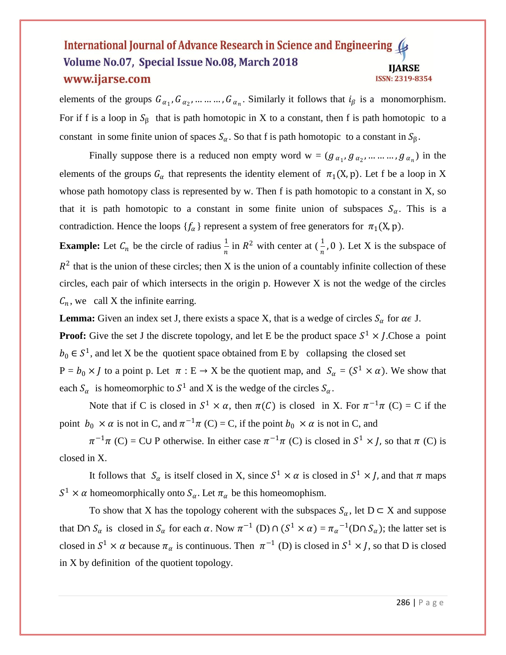elements of the groups  $G_{\alpha_1}, G_{\alpha_2}, \dots, G_{\alpha_n}$ . Similarly it follows that  $i_\beta$  is a monomorphism. For if f is a loop in  $S_\beta$  that is path homotopic in X to a constant, then f is path homotopic to a constant in some finite union of spaces  $S_\alpha$ . So that f is path homotopic to a constant in  $S_\beta$ .

Finally suppose there is a reduced non empty word  $w = (g_{\alpha_1}, g_{\alpha_2}, ..., ..., g_{\alpha_n})$  in the elements of the groups  $G_{\alpha}$  that represents the identity element of  $\pi_1(X, p)$ . Let f be a loop in X whose path homotopy class is represented by w. Then f is path homotopic to a constant in X, so that it is path homotopic to a constant in some finite union of subspaces  $S_{\alpha}$ . This is a contradiction. Hence the loops  $\{f_{\alpha}\}\$  represent a system of free generators for  $\pi_1(X, p)$ .

**Example:** Let  $C_n$  be the circle of radius  $\frac{1}{n}$  in  $R^2$  with center at  $(\frac{1}{n}, 0)$ . Let X is the subspace of  $R<sup>2</sup>$  that is the union of these circles; then X is the union of a countably infinite collection of these circles, each pair of which intersects in the origin p. However  $X$  is not the wedge of the circles  $C_n$ , we call X the infinite earring.

**Lemma:** Given an index set J, there exists a space X, that is a wedge of circles  $S_\alpha$  for  $\alpha \in J$ .

**Proof:** Give the set J the discrete topology, and let E be the product space  $S^1 \times J$ . Chose a point  $b_0 \in S^1$ , and let X be the quotient space obtained from E by collapsing the closed set

 $P = b_0 \times J$  to a point p. Let  $\pi : E \to X$  be the quotient map, and  $S_\alpha = (S^1 \times \alpha)$ . We show that each  $S_{\alpha}$  is homeomorphic to  $S^1$  and X is the wedge of the circles  $S_{\alpha}$ .

Note that if C is closed in  $S^1 \times \alpha$ , then  $\pi(C)$  is closed in X. For  $\pi^{-1}\pi(C) = C$  if the point  $b_0 \times \alpha$  is not in C, and  $\pi^{-1}\pi$  (C) = C, if the point  $b_0 \times \alpha$  is not in C, and

 $\pi^{-1}\pi$  (C) = CU P otherwise. In either case  $\pi^{-1}\pi$  (C) is closed in  $S^1 \times J$ , so that  $\pi$  (C) is closed in X.

It follows that  $S_{\alpha}$  is itself closed in X, since  $S^1 \times \alpha$  is closed in  $S^1 \times J$ , and that  $\pi$  maps  $S^1 \times \alpha$  homeomorphically onto  $S_\alpha$ . Let  $\pi_\alpha$  be this homeomophism.

To show that X has the topology coherent with the subspaces  $S_{\alpha}$ , let  $D \subset X$  and suppose that D∩  $S_\alpha$  is closed in  $S_\alpha$  for each  $\alpha$ . Now  $\pi^{-1}$  (D)  $\cap$  (S<sup>1</sup> ×  $\alpha$ ) =  $\pi_\alpha^{-1}$ (D $\cap$   $S_\alpha$ ); the latter set is closed in  $S^1 \times \alpha$  because  $\pi_\alpha$  is continuous. Then  $\pi^{-1}$  (D) is closed in  $S^1 \times J$ , so that D is closed in X by definition of the quotient topology.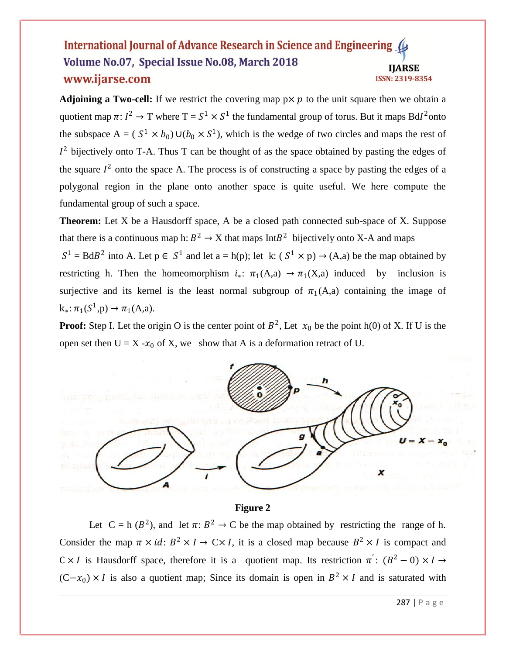**Adjoining a Two-cell:** If we restrict the covering map  $p \times p$  to the unit square then we obtain a quotient map  $\pi: I^2 \to T$  where  $T = S^1 \times S^1$  the fundamental group of torus. But it maps Bd $I^2$ onto the subspace  $A = (S^1 \times b_0) \cup (b_0 \times S^1)$ , which is the wedge of two circles and maps the rest of  $I<sup>2</sup>$  bijectively onto T-A. Thus T can be thought of as the space obtained by pasting the edges of the square  $I^2$  onto the space A. The process is of constructing a space by pasting the edges of a polygonal region in the plane onto another space is quite useful. We here compute the fundamental group of such a space.

**Theorem:** Let X be a Hausdorff space, A be a closed path connected sub-space of X. Suppose that there is a continuous map h:  $B^2 \to X$  that maps Int $B^2$  bijectively onto X-A and maps

 $S^1 = BdB^2$  into A. Let  $p \in S^1$  and let  $a = h(p)$ ; let k:  $(S^1 \times p) \rightarrow (A,a)$  be the map obtained by restricting h. Then the homeomorphism  $i_*: \pi_1(A,a) \to \pi_1(X,a)$  induced by inclusion is surjective and its kernel is the least normal subgroup of  $\pi_1(A,a)$  containing the image of  $k_*: \pi_1(S^1,p) \to \pi_1(A,a).$ 

**Proof:** Step I. Let the origin O is the center point of  $B^2$ , Let  $x_0$  be the point h(0) of X. If U is the open set then  $U = X - x_0$  of X, we show that A is a deformation retract of U.



## **Figure 2**

Let  $C = h (B^2)$ , and let  $\pi: B^2 \to C$  be the map obtained by restricting the range of h. Consider the map  $\pi \times id$ :  $B^2 \times I \to C \times I$ , it is a closed map because  $B^2 \times I$  is compact and  $C \times I$  is Hausdorff space, therefore it is a quotient map. Its restriction  $\pi'$ :  $(B^2 - 0) \times I \rightarrow$  $(C-x_0) \times I$  is also a quotient map; Since its domain is open in  $B^2 \times I$  and is saturated with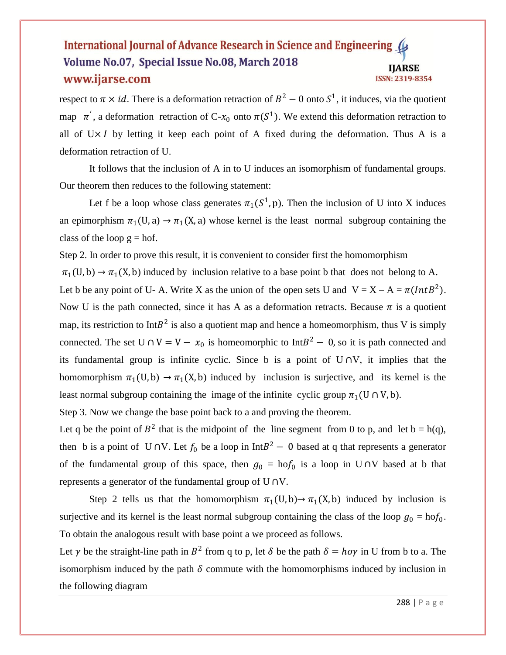respect to  $\pi \times id$ . There is a deformation retraction of  $B^2 - 0$  onto  $S^1$ , it induces, via the quotient map  $\pi'$ , a deformation retraction of C- $x_0$  onto  $\pi(S^1)$ . We extend this deformation retraction to all of  $U \times I$  by letting it keep each point of A fixed during the deformation. Thus A is a deformation retraction of U.

It follows that the inclusion of A in to U induces an isomorphism of fundamental groups. Our theorem then reduces to the following statement:

Let f be a loop whose class generates  $\pi_1(S^1, p)$ . Then the inclusion of U into X induces an epimorphism  $\pi_1(U, a) \to \pi_1(X, a)$  whose kernel is the least normal subgroup containing the class of the loop  $g =$  hof.

Step 2. In order to prove this result, it is convenient to consider first the homomorphism

 $\pi_1(U, b) \to \pi_1(X, b)$  induced by inclusion relative to a base point b that does not belong to A. Let b be any point of U-A. Write X as the union of the open sets U and  $V = X - A = \pi (Int B^2)$ . Now U is the path connected, since it has A as a deformation retracts. Because  $\pi$  is a quotient map, its restriction to Int $B^2$  is also a quotient map and hence a homeomorphism, thus V is simply connected. The set  $U \cap V = V - x_0$  is homeomorphic to Int $B^2 - 0$ , so it is path connected and its fundamental group is infinite cyclic. Since b is a point of U ∩V, it implies that the homomorphism  $\pi_1(U, b) \to \pi_1(X, b)$  induced by inclusion is surjective, and its kernel is the least normal subgroup containing the image of the infinite cyclic group  $\pi_1(U \cap V, b)$ .

Step 3. Now we change the base point back to a and proving the theorem.

Let q be the point of  $B^2$  that is the midpoint of the line segment from 0 to p, and let b = h(q), then b is a point of U ∩V. Let  $f_0$  be a loop in Int $B^2 - 0$  based at q that represents a generator of the fundamental group of this space, then  $g_0 = h \circ f_0$  is a loop in U ∩V based at b that represents a generator of the fundamental group of U ∩V.

Step 2 tells us that the homomorphism  $\pi_1(U, b) \rightarrow \pi_1(X, b)$  induced by inclusion is surjective and its kernel is the least normal subgroup containing the class of the loop  $g_0 = \text{ho} f_0$ . To obtain the analogous result with base point a we proceed as follows.

Let  $\gamma$  be the straight-line path in  $B^2$  from q to p, let  $\delta$  be the path  $\delta = h \circ \gamma$  in U from b to a. The isomorphism induced by the path  $\delta$  commute with the homomorphisms induced by inclusion in the following diagram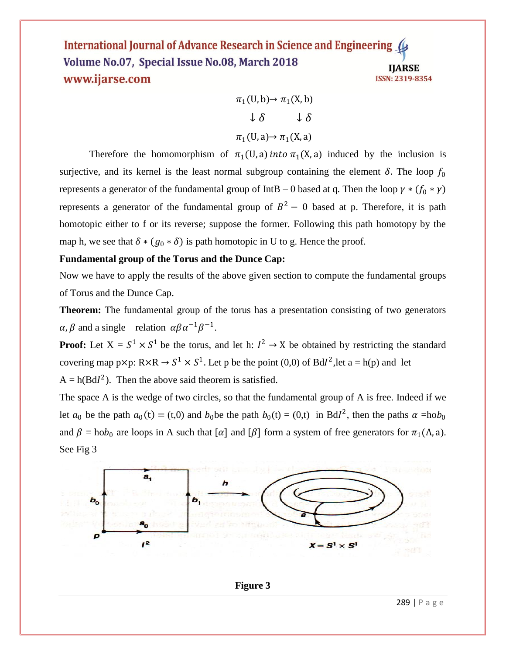$$
\pi_1(U, b) \to \pi_1(X, b)
$$

$$
\downarrow \delta \qquad \downarrow \delta
$$

$$
\pi_1(U, a) \to \pi_1(X, a)
$$

Therefore the homomorphism of  $\pi_1(U, a)$  into  $\pi_1(X, a)$  induced by the inclusion is surjective, and its kernel is the least normal subgroup containing the element  $\delta$ . The loop  $f_0$ represents a generator of the fundamental group of IntB – 0 based at q. Then the loop  $\gamma * (f_0 * \gamma)$ represents a generator of the fundamental group of  $B^2 - 0$  based at p. Therefore, it is path homotopic either to f or its reverse; suppose the former. Following this path homotopy by the map h, we see that  $\delta * (g_0 * \delta)$  is path homotopic in U to g. Hence the proof.

## **Fundamental group of the Torus and the Dunce Cap:**

See Fig 3

Now we have to apply the results of the above given section to compute the fundamental groups of Torus and the Dunce Cap.

**Theorem:** The fundamental group of the torus has a presentation consisting of two generators  $\alpha, \beta$  and a single relation  $\alpha \beta \alpha^{-1} \beta^{-1}$ .

**Proof:** Let  $X = S^1 \times S^1$  be the torus, and let h:  $I^2 \to X$  be obtained by restricting the standard covering map p×p:  $R \times R \to S^1 \times S^1$ . Let p be the point (0,0) of BdI<sup>2</sup>, let a = h(p) and let  $A = h(BdI<sup>2</sup>)$ . Then the above said theorem is satisfied.

The space A is the wedge of two circles, so that the fundamental group of A is free. Indeed if we let  $a_0$  be the path  $a_0(t) = (t,0)$  and  $b_0$  be the path  $b_0(t) = (0,t)$  in BdI<sup>2</sup>, then the paths  $\alpha = h \circ b_0$ and  $\beta = \text{hob}_0$  are loops in A such that  $[\alpha]$  and  $[\beta]$  form a system of free generators for  $\pi_1(A, a)$ .



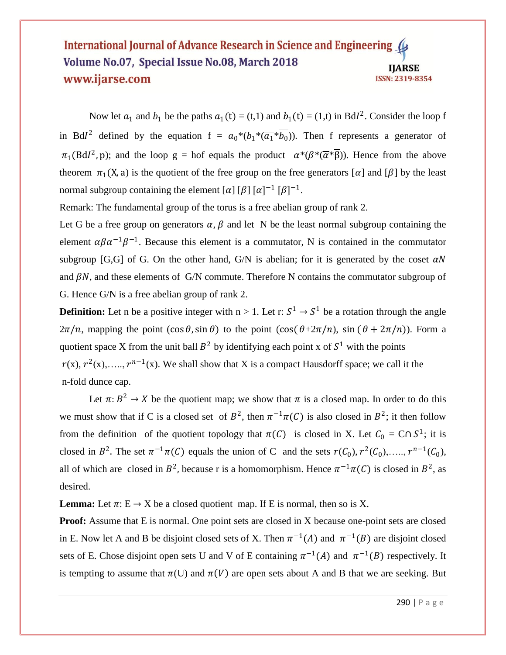Now let  $a_1$  and  $b_1$  be the paths  $a_1(t) = (t,1)$  and  $b_1(t) = (1,t)$  in BdI<sup>2</sup>. Consider the loop f in Bdl<sup>2</sup> defined by the equation  $f = a_0 * (b_1 * (\overline{a_1} * \overline{b_0}))$ . Then f represents a generator of  $\pi_1(BdI^2, p)$ ; and the loop g = hof equals the product  $\alpha^*(\beta^*(\overline{\alpha}*\overline{\beta}))$ . Hence from the above theorem  $\pi_1(X, a)$  is the quotient of the free group on the free generators  $\alpha$  and  $\beta$  by the least normal subgroup containing the element  $[\alpha] [\beta] [\alpha]^{-1} [\beta]^{-1}$ .

Remark: The fundamental group of the torus is a free abelian group of rank 2.

Let G be a free group on generators  $\alpha$ ,  $\beta$  and let N be the least normal subgroup containing the element  $\alpha \beta \alpha^{-1} \beta^{-1}$ . Because this element is a commutator, N is contained in the commutator subgroup [G,G] of G. On the other hand, G/N is abelian; for it is generated by the coset  $\alpha N$ and  $\beta N$ , and these elements of G/N commute. Therefore N contains the commutator subgroup of G. Hence G/N is a free abelian group of rank 2.

**Definition:** Let n be a positive integer with  $n > 1$ . Let r:  $S^1 \rightarrow S^1$  be a rotation through the angle  $2\pi/n$ , mapping the point  $(\cos \theta, \sin \theta)$  to the point  $(\cos(\theta + 2\pi/n), \sin(\theta + 2\pi/n))$ . Form a quotient space X from the unit ball  $B^2$  by identifying each point x of  $S^1$  with the points  $r(x)$ ,  $r^2(x)$ ,....,  $r^{n-1}(x)$ . We shall show that X is a compact Hausdorff space; we call it the n-fold dunce cap.

Let  $\pi: B^2 \to X$  be the quotient map; we show that  $\pi$  is a closed map. In order to do this we must show that if C is a closed set of  $B^2$ , then  $\pi^{-1}\pi(C)$  is also closed in  $B^2$ ; it then follow from the definition of the quotient topology that  $\pi(C)$  is closed in X. Let  $C_0 = C \cap S^1$ ; it is closed in  $B^2$ . The set  $\pi^{-1}\pi(C)$  equals the union of C and the sets  $r(C_0)$ ,  $r^2(C_0)$ , ...,  $r^{n-1}(C_0)$ , all of which are closed in  $B^2$ , because r is a homomorphism. Hence  $\pi^{-1}\pi(C)$  is closed in  $B^2$ , as desired.

**Lemma:** Let  $\pi: E \to X$  be a closed quotient map. If E is normal, then so is X.

**Proof:** Assume that E is normal. One point sets are closed in X because one-point sets are closed in E. Now let A and B be disjoint closed sets of X. Then  $\pi^{-1}(A)$  and  $\pi^{-1}(B)$  are disjoint closed sets of E. Chose disjoint open sets U and V of E containing  $\pi^{-1}(A)$  and  $\pi^{-1}(B)$  respectively. It is tempting to assume that  $\pi(U)$  and  $\pi(V)$  are open sets about A and B that we are seeking. But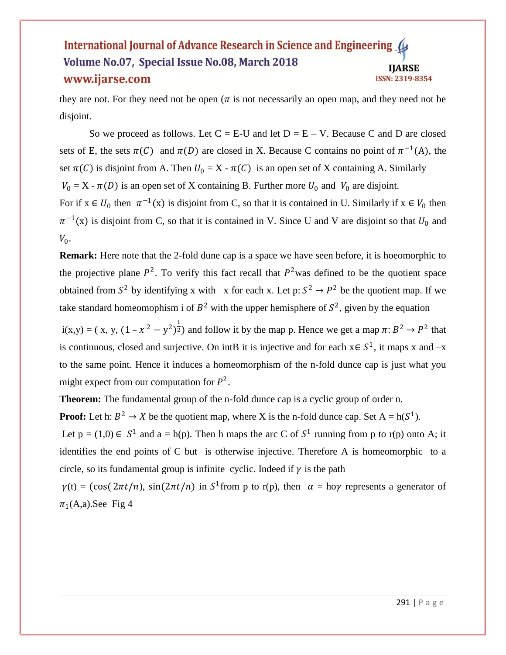they are not. For they need not be open ( $\pi$  is not necessarily an open map, and they need not be disjoint.

So we proceed as follows. Let  $C = E-U$  and let  $D = E - V$ . Because C and D are closed sets of E, the sets  $\pi(C)$  and  $\pi(D)$  are closed in X. Because C contains no point of  $\pi^{-1}(A)$ , the set  $\pi(C)$  is disjoint from A. Then  $U_0 = X - \pi(C)$  is an open set of X containing A. Similarly  $V_0 = X - \pi(D)$  is an open set of X containing B. Further more  $U_0$  and  $V_0$  are disjoint. For if  $x \in U_0$  then  $\pi^{-1}(x)$  is disjoint from C, so that it is contained in U. Similarly if  $x \in V_0$  then  $\pi^{-1}(x)$  is disjoint from C, so that it is contained in V. Since U and V are disjoint so that  $U_0$  and  $V_0$ .

**Remark:** Here note that the 2-fold dune cap is a space we have seen before, it is hoeomorphic to the projective plane  $P^2$ . To verify this fact recall that  $P^2$  was defined to be the quotient space obtained from  $S^2$  by identifying x with  $-x$  for each x. Let p:  $S^2 \to P^2$  be the quotient map. If we take standard homeomophism i of  $B^2$  with the upper hemisphere of  $S^2$ , given by the equation

 $i(x,y) = (x, y, (1 - x^2 - y^2)^{\frac{1}{2}})$  and follow it by the map p. Hence we get a map  $\pi: B^2 \to P^2$  that is continuous, closed and surjective. On intB it is injective and for each  $x \in S^1$ , it maps x and  $-x$ to the same point. Hence it induces a homeomorphism of the n-fold dunce cap is just what you might expect from our computation for  $P^2$ .

**Theorem:** The fundamental group of the n-fold dunce cap is a cyclic group of order n.

**Proof:** Let h:  $B^2 \to X$  be the quotient map, where X is the n-fold dunce cap. Set  $A = h(S^1)$ .

Let  $p = (1,0) \in S^1$  and  $a = h(p)$ . Then h maps the arc C of  $S^1$  running from p to r(p) onto A; it identifies the end points of C but is otherwise injective. Therefore A is homeomorphic to a circle, so its fundamental group is infinite cyclic. Indeed if  $\gamma$  is the path

 $\gamma(t) = (\cos(2\pi t/n), \sin(2\pi t/n))$  in  $S^1$  from p to r(p), then  $\alpha = \ln \gamma$  represents a generator of  $\pi_1(A,a)$ . See Fig 4